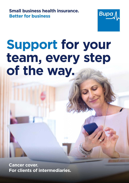**Small business health insurance. Better for business** 



## **Support for your team, every step of the way.**

**Cancer cover. For clients of intermediaries.**